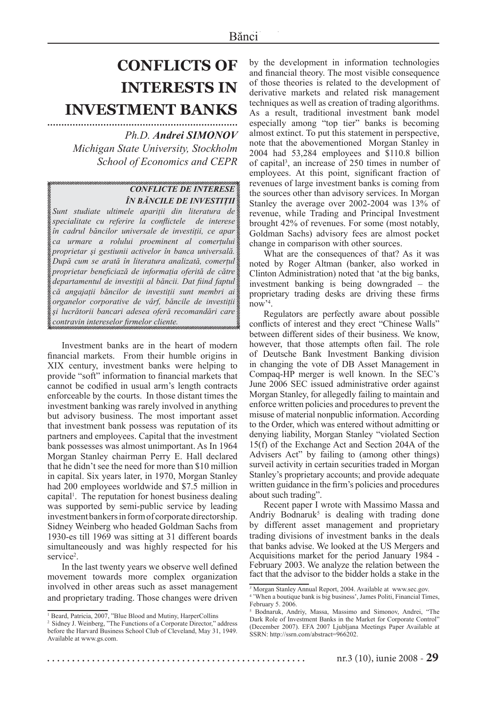## **CONFLICTS OF INTERESTS IN INVESTMENT BANKS ....................................................................**

## *Ph.D. Andrei SIMONOV*

*Michigan State University, Stockholm School of Economics and CEPR*

## *CONFLICTE DE INTERESE ÎN BĂNCILE DE INVESTIŢII*

*Sunt studiate ultimele apariţii din literatura de specialitate cu referire la confl ictele de interese în cadrul băncilor universale de investiţii, ce apar ca urmare a rolului proeminent al comerţului proprietar şi gestiunii activelor în banca universală. După cum se arată în literatura analizată, comerţul proprietar benefi ciază de informaţia oferită de către departamentul de investiţii al băncii. Dat fi ind faptul că angajaţii băncilor de investiţii sunt membri ai organelor corporative de vârf, băncile de investiţii şi lucrătorii bancari adesea oferă recomandări care contravin intereselor fi rmelor cliente.*

Investment banks are in the heart of modern financial markets. From their humble origins in XIX century, investment banks were helping to provide "soft" information to financial markets that cannot be codified in usual arm's length contracts enforceable by the courts. In those distant times the investment banking was rarely involved in anything but advisory business. The most important asset that investment bank possess was reputation of its partners and employees. Capital that the investment bank possesses was almost unimportant. As In 1964 Morgan Stanley chairman Perry E. Hall declared that he didn't see the need for more than \$10 million in capital. Six years later, in 1970, Morgan Stanley had 200 employees worldwide and \$7.5 million in capital<sup>1</sup>. The reputation for honest business dealing was supported by semi-public service by leading investment bankers in form of corporate directorship. Sidney Weinberg who headed Goldman Sachs from 1930-es till 1969 was sitting at 31 different boards simultaneously and was highly respected for his service<sup>2</sup>.

In the last twenty years we observe well defined movement towards more complex organization involved in other areas such as asset management and proprietary trading. Those changes were driven by the development in information technologies and financial theory. The most visible consequence of those theories is related to the development of derivative markets and related risk management techniques as well as creation of trading algorithms. As a result, traditional investment bank model especially among "top tier" banks is becoming almost extinct. To put this statement in perspective, note that the abovementioned Morgan Stanley in 2004 had 53,284 employees and \$110.8 billion of capital<sup>3</sup>, an increase of 250 times in number of employees. At this point, significant fraction of revenues of large investment banks is coming from the sources other than advisory services. In Morgan Stanley the average over 2002-2004 was 13% of revenue, while Trading and Principal Investment brought 42% of revenues. For some (most notably, Goldman Sachs) advisory fees are almost pocket change in comparison with other sources.

What are the consequences of that? As it was noted by Roger Altman (banker, also worked in Clinton Administration) noted that 'at the big banks, investment banking is being downgraded – the proprietary trading desks are driving these firms now'4 .

Regulators are perfectly aware about possible conflicts of interest and they erect "Chinese Walls" between different sides of their business. We know, however, that those attempts often fail. The role of Deutsche Bank Investment Banking division in changing the vote of DB Asset Management in Compaq-HP merger is well known. In the SEC's June 2006 SEC issued administrative order against Morgan Stanley, for allegedly failing to maintain and enforce written policies and procedures to prevent the misuse of material nonpublic information. According to the Order, which was entered without admitting or denying liability, Morgan Stanley "violated Section 15(f) of the Exchange Act and Section 204A of the Advisers Act" by failing to (among other things) surveil activity in certain securities traded in Morgan Stanley's proprietary accounts; and provide adequate written guidance in the firm's policies and procedures about such trading".

Recent paper I wrote with Massimo Massa and Andriy Bodnaruk<sup>5</sup> is dealing with trading done by different asset management and proprietary trading divisions of investment banks in the deals that banks advise. We looked at the US Mergers and Acquisitions market for the period January 1984 - February 2003. We analyze the relation between the fact that the advisor to the bidder holds a stake in the

<sup>&</sup>lt;sup>1</sup> Beard, Patricia, 2007, "Blue Blood and Mutiny, HarperCollins

<sup>&</sup>lt;sup>2</sup> Sidney J. Weinberg, "The Functions of a Corporate Director," address before the Harvard Business School Club of Cleveland, May 31, 1949. Available at www.gs.com.

*<sup>3</sup>* Morgan Stanley Annual Report, 2004. Available at www.sec.gov.

<sup>4</sup> 'When a boutique bank is big business', James Politi, Financial Times, February 5. 2006.

<sup>5</sup> Bodnaruk, Andriy, Massa, Massimo and Simonov, Andrei, "The Dark Role of Investment Banks in the Market for Corporate Control" (December 2007). EFA 2007 Ljubljana Meetings Paper Available at SSRN: http://ssrn.com/abstract=966202.